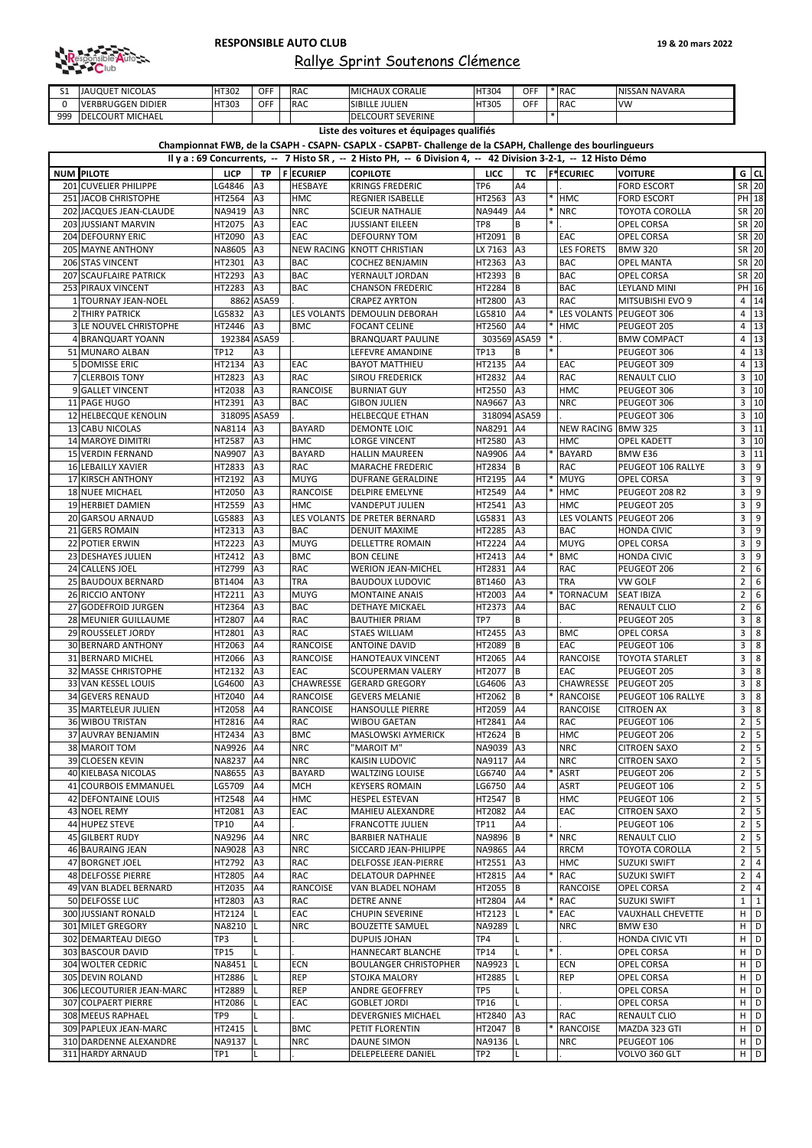| ັ   | <b>JAUQUET NICOLAS</b>     | HT302 | <b>OFF</b> | <b>IRAC</b> | <b>MICHAUX CORALIE</b>   | HT304        | OFF        | * IRAC      | NISSAN NAVARA |
|-----|----------------------------|-------|------------|-------------|--------------------------|--------------|------------|-------------|---------------|
|     | VERBRUGGEN DIDIER          | HT303 | <b>OFF</b> | <b>IRAC</b> | <b>SIBILLE JULIEN</b>    | <b>HT305</b> | <b>OFF</b> | <b>IRAC</b> | <b>IVW</b>    |
| 999 | MICHAEL<br><b>DELCOURT</b> |       |            |             | <b>DELCOURT SEVERINE</b> |              |            |             |               |

| Il y a : 69 Concurrents, -- 7 Histo SR, -- 2 Histo PH, -- 6 Division 4, -- 42 Division 3-2-1, -- 12 Histo Démo |              |                 |                  |                                 |                 |                 |  |                       |                           |                |                                          |
|----------------------------------------------------------------------------------------------------------------|--------------|-----------------|------------------|---------------------------------|-----------------|-----------------|--|-----------------------|---------------------------|----------------|------------------------------------------|
| <b>NUM PILOTE</b>                                                                                              | <b>LICP</b>  |                 | TP   F ECURIEP   | <b>COPILOTE</b>                 | <b>LICC</b>     | <b>TC</b>       |  | <b>F*ECURIEC</b>      | <b>VOITURE</b>            |                | G   CL                                   |
| 201 CUVELIER PHILIPPE                                                                                          | LG4846       | A <sub>3</sub>  | HESBAYE          | <b>KRINGS FREDERIC</b>          | TP <sub>6</sub> | A4              |  |                       | <b>FORD ESCORT</b>        |                | SR 20                                    |
| 251 JACOB CHRISTOPHE                                                                                           | HT2564       | A <sub>3</sub>  | <b>HMC</b>       | <b>REGNIER ISABELLE</b>         | HT2563          | A <sub>3</sub>  |  | $*$ $HMC$             | <b>FORD ESCORT</b>        |                | PH 18                                    |
| 202 JACQUES JEAN-CLAUDE                                                                                        | NA9419       | A <sub>3</sub>  | <b>NRC</b>       | <b>SCIEUR NATHALIE</b>          | NA9449 A4       |                 |  | $*$ NRC               | <b>TOYOTA COROLLA</b>     |                | SR 20                                    |
| 203 JUSSIANT MARVIN                                                                                            | HT2075       | A <sub>3</sub>  | EAC              | <b>JUSSIANT EILEEN</b>          | TP8             | B               |  |                       | <b>OPEL CORSA</b>         |                | SR 20                                    |
| 204 DEFOURNY ERIC                                                                                              | HT2090       | A <sub>3</sub>  | EAC              | <b>DEFOURNY TOM</b>             | HT2091          | IB.             |  | <b>EAC</b>            | <b>OPEL CORSA</b>         |                | SR 20                                    |
| 205 MAYNE ANTHONY                                                                                              | NA8605 A3    |                 |                  | NEW RACING KNOTT CHRISTIAN      | LX 7163   A3    |                 |  | <b>LES FORETS</b>     | <b>BMW 320</b>            |                | SR 20                                    |
| 206 STAS VINCENT                                                                                               | HT2301       | A <sub>3</sub>  | <b>BAC</b>       | <b>COCHEZ BENJAMIN</b>          | HT2363          | A <sub>3</sub>  |  | <b>BAC</b>            | <b>OPEL MANTA</b>         |                | SR 20                                    |
| 207 SCAUFLAIRE PATRICK                                                                                         | HT2293       | A <sub>3</sub>  | <b>BAC</b>       | YERNAULT JORDAN                 | HT2393          | ΙB              |  | <b>BAC</b>            | <b>OPEL CORSA</b>         |                | SR 20                                    |
|                                                                                                                |              |                 |                  |                                 |                 |                 |  |                       |                           |                |                                          |
| 253 PIRAUX VINCENT                                                                                             | HT2283       | A <sub>3</sub>  | <b>BAC</b>       | <b>CHANSON FREDERIC</b>         | HT2284          | IΒ              |  | <b>BAC</b>            | LEYLAND MINI              |                | PH 16                                    |
| 1 TOURNAY JEAN-NOEL                                                                                            |              | 8862 ASA59      |                  | <b>CRAPEZ AYRTON</b>            | HT2800          | IA <sub>3</sub> |  | <b>RAC</b>            | MITSUBISHI EVO 9          |                | 4 14                                     |
| 2 THIRY PATRICK                                                                                                | LG5832       | A <sub>3</sub>  |                  | LES VOLANTS   DEMOULIN DEBORAH  | LG5810          | A4              |  |                       | * LES VOLANTS PEUGEOT 306 |                | 4 13                                     |
| 3 LE NOUVEL CHRISTOPHE                                                                                         | HT2446 A3    |                 | <b>BMC</b>       | <b>FOCANT CELINE</b>            | HT2560 A4       |                 |  | * HMC                 | PEUGEOT 205               | 4              | 13                                       |
| 4 BRANQUART YOANN                                                                                              | 192384 ASA59 |                 |                  | <b>BRANQUART PAULINE</b>        | 303569 ASA59    |                 |  |                       | <b>BMW COMPACT</b>        | 4              | 13                                       |
| 51 MUNARO ALBAN                                                                                                | TP12         | A3              |                  | LEFEVRE AMANDINE                | TP13            | B               |  |                       | PEUGEOT 306               | 4              | 13                                       |
| 5 DOMISSE ERIC                                                                                                 | HT2134 A3    |                 | EAC              | <b>BAYOT MATTHIEU</b>           | HT2135          | A4              |  | <b>EAC</b>            | PEUGEOT 309               | 4              | 13                                       |
| 7 CLERBOIS TONY                                                                                                | HT2823       | A <sub>3</sub>  | <b>RAC</b>       | <b>SIROU FREDERICK</b>          | HT2832          | A4              |  | <b>RAC</b>            | <b>RENAULT CLIO</b>       |                | 3 10                                     |
| 9 GALLET VINCENT                                                                                               | HT2038 A3    |                 | <b>RANCOISE</b>  | <b>BURNIAT GUY</b>              | HT2550          | IA <sub>3</sub> |  | <b>HMC</b>            | PEUGEOT 306               | $\mathbf{3}$   | 10                                       |
| 11 PAGE HUGO                                                                                                   | HT2391   A3  |                 | <b>BAC</b>       | GIBON JULIEN                    | NA9667 A3       |                 |  | <b>NRC</b>            | PEUGEOT 306               |                | 3 10                                     |
| 12 HELBECQUE KENOLIN                                                                                           | 318095 ASA59 |                 |                  | HELBECQUE ETHAN                 | 318094 ASA59    |                 |  |                       | PEUGEOT 306               | 3              | 10                                       |
| 13 CABU NICOLAS                                                                                                | NA8114 A3    |                 | <b>BAYARD</b>    | <b>DEMONTE LOIC</b>             | NA8291 A4       |                 |  | NEW RACING BMW 325    |                           |                | 3 11                                     |
| 14 MAROYE DIMITRI                                                                                              | HT2587   A3  |                 | <b>HMC</b>       | LORGE VINCENT                   | HT2580          | A <sub>3</sub>  |  | <b>HMC</b>            | <b>OPEL KADETT</b>        |                | 3 10                                     |
| 15 VERDIN FERNAND                                                                                              | NA9907 A3    |                 | <b>BAYARD</b>    | <b>HALLIN MAUREEN</b>           | NA9906          | A4              |  | * BAYARD              | BMW E36                   | $\mathbf{3}$   | 11                                       |
| 16 LEBAILLY XAVIER                                                                                             | HT2833       | A <sub>3</sub>  | <b>RAC</b>       | MARACHE FREDERIC                | HT2834          | ΙB              |  | <b>RAC</b>            | <b>PEUGEOT 106 RALLYE</b> | 3              | 9                                        |
| 17 KIRSCH ANTHONY                                                                                              | HT2192       | A <sub>3</sub>  | <b>MUYG</b>      | DUFRANE GERALDINE               | HT2195          | IA4             |  | * MUYG                | <b>OPEL CORSA</b>         | 3              | 9                                        |
| 18 NUEE MICHAEL                                                                                                | HT2050       | A <sub>3</sub>  | <b>RANCOISE</b>  | <b>DELPIRE EMELYNE</b>          | HT2549          | A4              |  | * HMC                 | PEUGEOT 208 R2            | 3              | 9                                        |
|                                                                                                                |              |                 |                  |                                 |                 |                 |  |                       |                           |                |                                          |
| 19 HERBIET DAMIEN                                                                                              | HT2559       | A <sub>3</sub>  | <b>HMC</b>       | <b>VANDEPUT JULIEN</b>          | HT2541          | A <sub>3</sub>  |  | <b>HMC</b>            | PEUGEOT 205               | 3              | 9                                        |
| 20 GARSOU ARNAUD                                                                                               | LG5883       | A <sub>3</sub>  |                  | LES VOLANTS   DE PRETER BERNARD | LG5831          | IA3             |  |                       | LES VOLANTS PEUGEOT 206   | 3              | 9                                        |
| 21 GERS ROMAIN                                                                                                 | HT2313       | A <sub>3</sub>  | <b>BAC</b>       | <b>DENUIT MAXIME</b>            | HT2285          | A <sub>3</sub>  |  | <b>BAC</b>            | <b>HONDA CIVIC</b>        | 3 <sup>1</sup> | l 9                                      |
| 22 POTIER ERWIN                                                                                                | HT2223 A3    |                 | <b>MUYG</b>      | <b>DELLETTRE ROMAIN</b>         | HT2224          | AA              |  | <b>MUYG</b>           | <b>OPEL CORSA</b>         | 3 <sup>1</sup> | 9                                        |
| 23 DESHAYES JULIEN                                                                                             | HT2412 A3    |                 | <b>BMC</b>       | <b>BON CELINE</b>               | HT2413 A4       |                 |  | * BMC                 | <b>HONDA CIVIC</b>        | 3              | $\begin{array}{c} \boxed{9} \end{array}$ |
| 24 CALLENS JOEL                                                                                                | HT2799       | A <sub>3</sub>  | <b>RAC</b>       | <b>WERION JEAN-MICHEL</b>       | HT2831          | A4              |  | <b>RAC</b>            | PEUGEOT 206               | $\overline{2}$ | 6                                        |
| 25 BAUDOUX BERNARD                                                                                             | BT1404       | A3              | <b>TRA</b>       | BAUDOUX LUDOVIC                 | BT1460          | A <sub>3</sub>  |  | <b>TRA</b>            | <b>VW GOLF</b>            | $\overline{2}$ | $6\phantom{1}$                           |
| 26 RICCIO ANTONY                                                                                               | HT2211       | IA3             | <b>MUYG</b>      | <b>MONTAINE ANAIS</b>           | HT2003          | A4              |  | * TORNACUM            | <b>SEAT IBIZA</b>         | $\overline{2}$ | 6                                        |
| 27 GODEFROID JURGEN                                                                                            | HT2364       | A3              | <b>BAC</b>       | <b>DETHAYE MICKAEL</b>          | HT2373          | A4              |  | <b>BAC</b>            | <b>RENAULT CLIO</b>       | $\overline{2}$ | 6                                        |
| 28 MEUNIER GUILLAUME                                                                                           | HT2807       | A4              | <b>RAC</b>       | <b>BAUTHIER PRIAM</b>           | TP7             | B               |  |                       | PEUGEOT 205               | 3              | 8                                        |
| 29 ROUSSELET JORDY                                                                                             | HT2801       | A3              | <b>RAC</b>       | <b>STAES WILLIAM</b>            | HT2455          | A <sub>3</sub>  |  | <b>BMC</b>            | <b>OPEL CORSA</b>         | 3              | 8                                        |
| 30 BERNARD ANTHONY                                                                                             | HT2063       | A4              | <b>RANCOISE</b>  | ANTOINE DAVID                   | HT2089          | IΒ              |  | <b>EAC</b>            | PEUGEOT 106               | 3              | 8                                        |
| 31 BERNARD MICHEL                                                                                              | HT2066       | A <sub>3</sub>  | <b>RANCOISE</b>  | <b> </b> HANOTEAUX VINCENT      | HT2065          | A4              |  | <b>RANCOISE</b>       | <b>TOYOTA STARLET</b>     | 3              | 8                                        |
| <b>32 MASSE CHRISTOPHE</b>                                                                                     | HT2132       | A3              | <b>EAC</b>       | <b>SCOUPERMAN VALERY</b>        | HT2077          | B               |  | <b>EAC</b>            | PEUGEOT 205               | 3              | 8                                        |
| 33 VAN KESSEL LOUIS                                                                                            | LG4600       | A3              | <b>CHAWRESSE</b> | <b>GERARD GREGORY</b>           | LG4606          | A <sub>3</sub>  |  | <b>CHAWRESSE</b>      | PEUGEOT 205               | 3              | 8                                        |
|                                                                                                                |              |                 |                  |                                 |                 |                 |  | * RANCOISE            |                           |                | 8                                        |
| 34 GEVERS RENAUD                                                                                               | HT2040       | A4              | <b>RANCOISE</b>  | <b>GEVERS MELANIE</b>           | HT2062          | B               |  |                       | <b>PEUGEOT 106 RALLYE</b> | 3              |                                          |
| 35 MARTELEUR JULIEN                                                                                            | HT2058       | A4              | <b>RANCOISE</b>  | <b>HANSOULLE PIERRE</b>         | HT2059          | A4              |  | <b>RANCOISE</b>       | <b>CITROEN AX</b>         | 3              | 8                                        |
| 36 WIBOU TRISTAN                                                                                               | HT2816       | A4              | <b>RAC</b>       | <b>WIBOU GAETAN</b>             | HT2841          | A4              |  | <b>RAC</b>            | PEUGEOT 106               | $\overline{2}$ | 5                                        |
| 37 AUVRAY BENJAMIN                                                                                             | HT2434       | A3              | <b>BMC</b>       | <b>MASLOWSKI AYMERICK</b>       | HT2624          | IB.             |  | <b>HMC</b>            | PEUGEOT 206               | $\overline{2}$ | 5                                        |
| 38 MAROIT TOM                                                                                                  | NA9926       | A4              | <b>NRC</b>       | "MAROIT M"                      | NA9039          | IA3             |  | <b>NRC</b>            | <b>CITROEN SAXO</b>       | $\overline{2}$ | $5\overline{)}$                          |
| 39 CLOESEN KEVIN                                                                                               | NA8237       | A4              | <b>NRC</b>       | <b>KAISIN LUDOVIC</b>           | NA9117          | A4              |  | <b>NRC</b>            | <b>CITROEN SAXO</b>       | $\overline{2}$ | 5                                        |
| 40 KIELBASA NICOLAS                                                                                            | NA8655       | A <sub>3</sub>  | <b>BAYARD</b>    | <b>WALTZING LOUISE</b>          | LG6740          | A4              |  | * ASRT                | PEUGEOT 206               | $\overline{2}$ | $5\phantom{.}$                           |
| 41 COURBOIS EMMANUEL                                                                                           | LG5709       | A4              | <b>MCH</b>       | <b>KEYSERS ROMAIN</b>           | LG6750          | A4              |  | <b>ASRT</b>           | PEUGEOT 106               | $\overline{2}$ | 5                                        |
| 42 DEFONTAINE LOUIS                                                                                            | HT2548       | A4              | <b>HMC</b>       | <b>HESPEL ESTEVAN</b>           | HT2547          | B               |  | <b>HMC</b>            | PEUGEOT 106               | $\overline{2}$ | 5                                        |
| 43 NOEL REMY                                                                                                   | HT2081       | A <sub>3</sub>  | EAC              | MAHIEU ALEXANDRE                | HT2082          | A4              |  | <b>EAC</b>            | <b>CITROEN SAXO</b>       | $\overline{2}$ | $5\overline{)}$                          |
| 44 HUPEZ STEVE                                                                                                 | TP10         | A4              |                  | <b>FRANCOTTE JULIEN</b>         | <b>TP11</b>     | A4              |  |                       | PEUGEOT 106               | $\overline{2}$ | 5                                        |
| 45 GILBERT RUDY                                                                                                | NA9296       | A4              | <b>NRC</b>       | <b>BARBIER NATHALIE</b>         | NA9896          | IB.             |  | $*$ NRC               | <b>RENAULT CLIO</b>       | $\overline{2}$ | $5\overline{)}$                          |
| 46 BAURAING JEAN                                                                                               | NA9028       | IA <sub>3</sub> | <b>NRC</b>       | ISICCARD JEAN-PHILIPPE          | NA9865 A4       |                 |  | <b>RRCM</b>           | <b>TOYOTA COROLLA</b>     | $\overline{2}$ | $5\phantom{.0}$                          |
| 47 BORGNET JOEL                                                                                                | HT2792       | A <sub>3</sub>  | <b>RAC</b>       | <b>DELFOSSE JEAN-PIERRE</b>     | HT2551          | IA3             |  | <b>HMC</b>            | <b>SUZUKI SWIFT</b>       | $\overline{2}$ | 4                                        |
| 48 DELFOSSE PIERRE                                                                                             | HT2805       | A4              | <b>RAC</b>       | <b>DELATOUR DAPHNEE</b>         | HT2815          | A4              |  | * RAC                 | <b>SUZUKI SWIFT</b>       | $\overline{2}$ | 4                                        |
| 49 VAN BLADEL BERNARD                                                                                          | HT2035       | A4              | <b>RANCOISE</b>  | <b>VAN BLADEL NOHAM</b>         | HT2055          | IB.             |  | <b>RANCOISE</b>       | <b>OPEL CORSA</b>         | $\overline{2}$ | 4                                        |
| 50 DELFOSSE LUC                                                                                                | HT2803       | A3              | <b>RAC</b>       | <b>DETRE ANNE</b>               | HT2804          | A4              |  | $*$ RAC               | <b>SUZUKI SWIFT</b>       | $\mathbf{1}$   |                                          |
|                                                                                                                |              |                 |                  |                                 |                 |                 |  | $\overline{\ast}$ EAC |                           |                | $\mathbf{1}$<br>H D                      |
| 300 JUSSIANT RONALD                                                                                            | HT2124       |                 | EAC              | <b>CHUPIN SEVERINE</b>          | HT2123          |                 |  |                       | <b>VAUXHALL CHEVETTE</b>  |                |                                          |
| 301 MILET GREGORY                                                                                              | NA8210       |                 | <b>NRC</b>       | <b>BOUZETTE SAMUEL</b>          | NA9289          |                 |  | <b>NRC</b>            | <b>BMW E30</b>            | H.             | D                                        |
| 302 DEMARTEAU DIEGO                                                                                            | TP3          |                 |                  | <b>DUPUIS JOHAN</b>             | TP4             |                 |  |                       | <b>HONDA CIVIC VTI</b>    |                | H D                                      |
| 303 BASCOUR DAVID                                                                                              | <b>TP15</b>  | ΙL              |                  | HANNECART BLANCHE               | <b>TP14</b>     |                 |  |                       | <b>OPEL CORSA</b>         |                | $H$ D                                    |
| 304 WOLTER CEDRIC                                                                                              | NA8451       |                 | <b>ECN</b>       | <b>I</b> BOULANGER CHRISTOPHER  | NA9923          |                 |  | ECN                   | <b>OPEL CORSA</b>         |                | H D                                      |
| 305 DEVIN ROLAND                                                                                               | HT2886       |                 | <b>REP</b>       | <b>STOJKA MALORY</b>            | HT2885          |                 |  | <b>REP</b>            | <b>OPEL CORSA</b>         |                | H   D                                    |
| 306 LECOUTURIER JEAN-MARC                                                                                      | HT2889       |                 | <b>REP</b>       | <b>ANDRE GEOFFREY</b>           | TP5             |                 |  |                       | <b>OPEL CORSA</b>         | H.             | D                                        |
| 307 COLPAERT PIERRE                                                                                            | HT2086       |                 | EAC              | <b>GOBLET JORDI</b>             | <b>TP16</b>     |                 |  |                       | <b>OPEL CORSA</b>         |                | H   D                                    |
| 308 MEEUS RAPHAEL                                                                                              | TP9          |                 |                  | <b>DEVERGNIES MICHAEL</b>       | HT2840          | A <sub>3</sub>  |  | <b>RAC</b>            | <b>RENAULT CLIO</b>       |                | H   D                                    |
| 309 PAPLEUX JEAN-MARC                                                                                          | HT2415       |                 | <b>BMC</b>       | PETIT FLORENTIN                 | HT2047          | IΒ              |  | RANCOISE              | MAZDA 323 GTI             |                | H D                                      |
| 310 DARDENNE ALEXANDRE                                                                                         | NA9137       |                 | <b>NRC</b>       | DAUNE SIMON                     | NA9136          |                 |  | <b>NRC</b>            | PEUGEOT 106               |                | H D                                      |
| 311 HARDY ARNAUD                                                                                               | TP1          |                 |                  | <b>DELEPELEERE DANIEL</b>       | TP <sub>2</sub> |                 |  |                       | VOLVO 360 GLT             |                | H   D                                    |



# Rallye Sprint Soutenons Clémence

#### **Championnat FWB, de la CSAPH - CSAPN- CSAPLX - CSAPBT- Challenge de la CSAPH, Challenge des bourlingueurs**

**Liste des voitures et équipages qualifiés**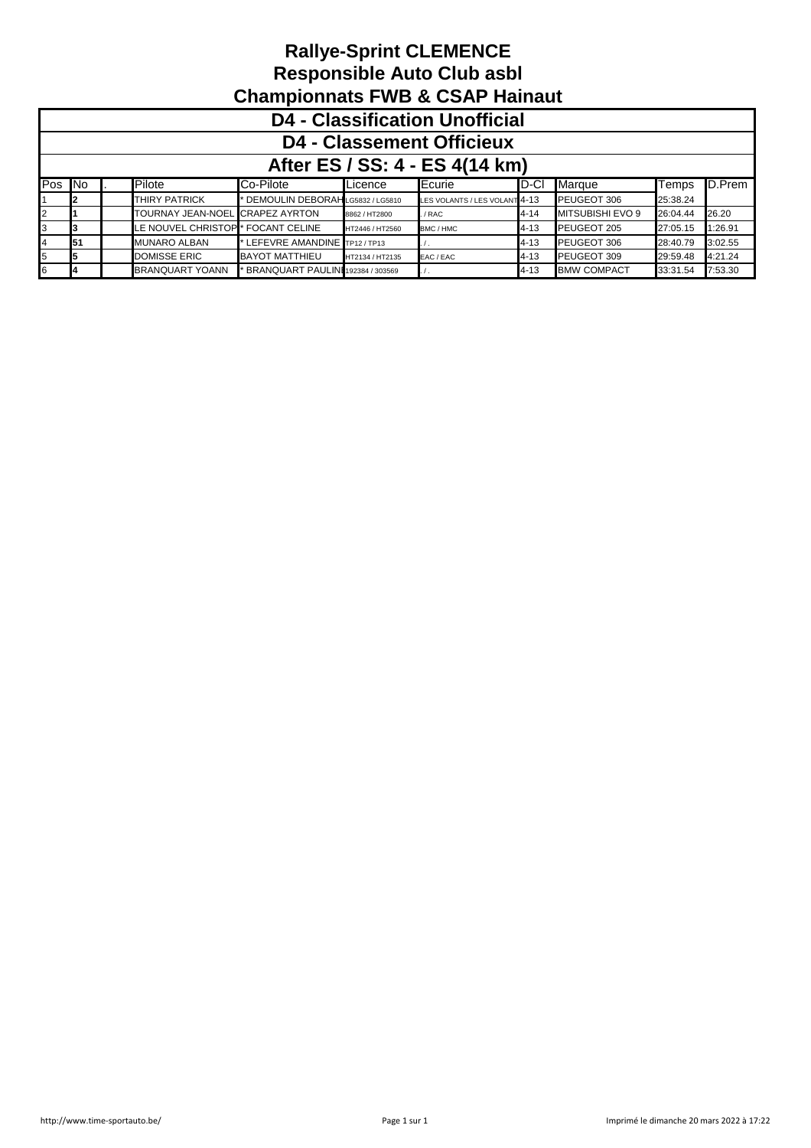|              | <b>D4 - Classification Unofficial</b> |  |                          |                                     |                 |                               |          |                         |          |         |  |  |
|--------------|---------------------------------------|--|--------------------------|-------------------------------------|-----------------|-------------------------------|----------|-------------------------|----------|---------|--|--|
|              | <b>D4 - Classement Officieux</b>      |  |                          |                                     |                 |                               |          |                         |          |         |  |  |
|              | After ES / SS: 4 - ES 4(14 km)        |  |                          |                                     |                 |                               |          |                         |          |         |  |  |
| Pos No       |                                       |  | Pilote                   | Co-Pilote                           | Licence         | Ecurie                        | ID-CI    | Marque                  | Temps    | D.Prem  |  |  |
|              |                                       |  | <b>THIRY PATRICK</b>     | * DEMOULIN DEBORAHLG5832 / LG5810   |                 | LES VOLANTS / LES VOLANT 4-13 |          | PEUGEOT 306             | 25:38.24 |         |  |  |
| $\mathbf{2}$ |                                       |  | <b>TOURNAY JEAN-NOEL</b> | <b>CRAPEZ AYRTON</b>                | 8862 / HT2800   | / RAC                         | $4 - 14$ | <b>MITSUBISHI EVO 9</b> | 26:04.44 | 26.20   |  |  |
|              |                                       |  | LE NOUVEL CHRISTOP       | * FOCANT CELINE                     | HT2446 / HT2560 | BMC / HMC                     | $4 - 13$ | PEUGEOT 205             | 27:05.15 | 1:26.91 |  |  |
|              | 51                                    |  | <b>MUNARO ALBAN</b>      | * LEFEVRE AMANDINE TP12/TP13        |                 |                               | $4 - 13$ | PEUGEOT 306             | 28:40.79 | 3:02.55 |  |  |
| 5            |                                       |  | <b>DOMISSE ERIC</b>      | <b>BAYOT MATTHIEU</b>               | HT2134 / HT2135 | EAC / EAC                     | $4 - 13$ | PEUGEOT 309             | 29:59.48 | 4:21.24 |  |  |
| 6.           |                                       |  | <b>BRANQUART YOANN</b>   | * BRANQUART PAULINI 192384 / 303569 |                 |                               | $4 - 13$ | <b>BMW COMPACT</b>      | 33:31.54 | 7:53.30 |  |  |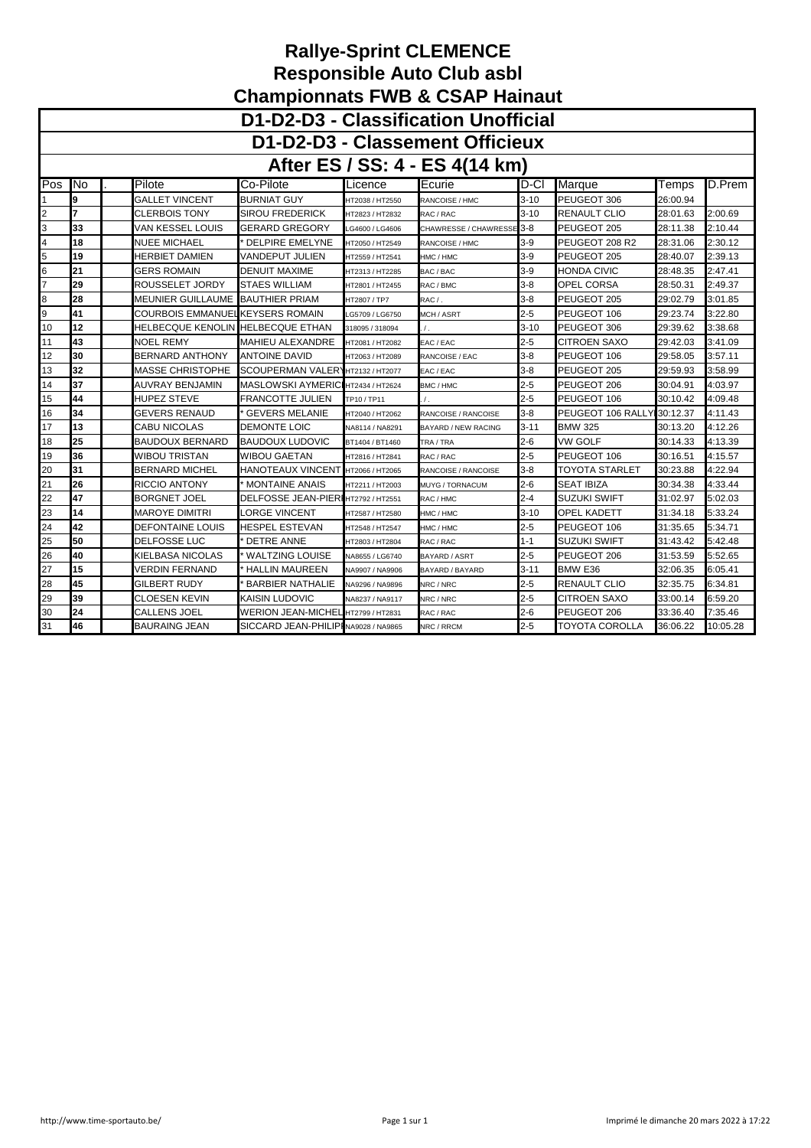|                | D1-D2-D3 - Classification Unofficial |                          |                                        |                 |                                 |          |                            |          |          |  |  |
|----------------|--------------------------------------|--------------------------|----------------------------------------|-----------------|---------------------------------|----------|----------------------------|----------|----------|--|--|
|                |                                      |                          |                                        |                 | D1-D2-D3 - Classement Officieux |          |                            |          |          |  |  |
|                |                                      |                          |                                        |                 | After ES / SS: 4 - ES 4(14 km)  |          |                            |          |          |  |  |
| Pos            | .No                                  | Pilote                   | Co-Pilote                              | Licence         | Ecurie                          | ID-CI    | Marque                     | Temps    | D.Prem   |  |  |
|                | l9                                   | GALLET VINCENT           | <b>BURNIAT GUY</b>                     | HT2038 / HT2550 | RANCOISE / HMC                  | $3 - 10$ | PEUGEOT 306                | 26:00.94 |          |  |  |
| 2              | 7                                    | CLERBOIS TONY            | <b>SIROU FREDERICK</b>                 | HT2823 / HT2832 | RAC / RAC                       | $3 - 10$ | RENAULT CLIO               | 28:01.63 | 2:00.69  |  |  |
| 3              | 33                                   | VAN KESSEL LOUIS         | GERARD GREGORY                         | LG4600 / LG4606 | CHAWRESSE / CHAWRESSE 3-8       |          | PEUGEOT 205                | 28:11.38 | 2:10.44  |  |  |
| 4              | 18                                   | <b>NUEE MICHAEL</b>      | <b>DELPIRE EMELYNE</b>                 | HT2050 / HT2549 | RANCOISE / HMC                  | $3-9$    | PEUGEOT 208 R2             | 28:31.06 | 2:30.12  |  |  |
| 5              | 19                                   | HERBIET DAMIEN           | VANDEPUT JULIEN                        | HT2559 / HT2541 | HMC / HMC                       | $3-9$    | PEUGEOT 205                | 28:40.07 | 2:39.13  |  |  |
| 6              | 21                                   | GERS ROMAIN              | DENUIT MAXIME                          | HT2313 / HT2285 | BAC / BAC                       | $3-9$    | HONDA CIVIC                | 28:48.35 | 2:47.41  |  |  |
| $\overline{7}$ | 29                                   | ROUSSELET JORDY          | <b>STAES WILLIAM</b>                   | HT2801 / HT2455 | RAC / BMC                       | $3 - 8$  | OPEL CORSA                 | 28:50.31 | 2:49.37  |  |  |
| 8              | 28                                   | <b>MEUNIER GUILLAUME</b> | <b>BAUTHIER PRIAM</b>                  | HT2807 / TP7    | RAC / .                         | $3 - 8$  | PEUGEOT 205                | 29:02.79 | 3:01.85  |  |  |
| 9              | 41                                   |                          | <b>COURBOIS EMMANUELKEYSERS ROMAIN</b> | LG5709 / LG6750 | MCH / ASRT                      | $2 - 5$  | PEUGEOT 106                | 29:23.74 | 3:22.80  |  |  |
| 10             | 12                                   | HELBECQUE KENOLIN        | <b>HELBECQUE ETHAN</b>                 | 318095 / 318094 | $\prime$ .                      | $3 - 10$ | PEUGEOT 306                | 29:39.62 | 3:38.68  |  |  |
| 11             | 43                                   | <b>NOEL REMY</b>         | <b>MAHIEU ALEXANDRE</b>                | HT2081 / HT2082 | EAC / EAC                       | $2 - 5$  | <b>CITROEN SAXO</b>        | 29:42.03 | 3:41.09  |  |  |
| 12             | 30                                   | <b>BERNARD ANTHONY</b>   | <b>ANTOINE DAVID</b>                   | HT2063 / HT2089 | RANCOISE / EAC                  | $3 - 8$  | PEUGEOT 106                | 29:58.05 | 3:57.11  |  |  |
| 13             | 32                                   | <b>MASSE CHRISTOPHE</b>  | SCOUPERMAN VALER HT2132 / HT2077       |                 | EAC / EAC                       | $3 - 8$  | PEUGEOT 205                | 29:59.93 | 3:58.99  |  |  |
| 14             | 37                                   | AUVRAY BENJAMIN          | <b>MASLOWSKI AYMERIC</b>               | HT2434 / HT2624 | BMC / HMC                       | $2 - 5$  | PEUGEOT 206                | 30:04.91 | 4:03.97  |  |  |
| 15             | 44                                   | <b>HUPEZ STEVE</b>       | FRANCOTTE JULIEN                       | TP10/TP11       | $\prime$ .                      | $2 - 5$  | PEUGEOT 106                | 30:10.42 | 4:09.48  |  |  |
| 16             | 34                                   | <b>GEVERS RENAUD</b>     | <b>GEVERS MELANIE</b>                  | HT2040 / HT2062 | RANCOISE / RANCOISE             | $3 - 8$  | PEUGEOT 106 RALLY 30:12.37 |          | 4:11.43  |  |  |
| 17             | 13                                   | CABU NICOLAS             | <b>DEMONTE LOIC</b>                    | NA8114 / NA8291 | <b>BAYARD / NEW RACING</b>      | $3 - 11$ | <b>BMW 325</b>             | 30:13.20 | 4:12.26  |  |  |
| 18             | 25                                   | <b>BAUDOUX BERNARD</b>   | <b>BAUDOUX LUDOVIC</b>                 | BT1404 / BT1460 | TRA / TRA                       | $2 - 6$  | VW GOLF                    | 30:14.33 | 4:13.39  |  |  |
| 19             | 36                                   | <b>WIBOU TRISTAN</b>     | <b>WIBOU GAETAN</b>                    | HT2816 / HT2841 | RAC / RAC                       | $2 - 5$  | PEUGEOT 106                | 30:16.51 | 4:15.57  |  |  |
| 20             | 31                                   | <b>BERNARD MICHEL</b>    | HANOTEAUX VINCENT                      | HT2066 / HT2065 | RANCOISE / RANCOISE             | $3 - 8$  | <b>TOYOTA STARLET</b>      | 30:23.88 | 4:22.94  |  |  |
| 21             | 26                                   | <b>RICCIO ANTONY</b>     | <b>MONTAINE ANAIS</b>                  | HT2211 / HT2003 | MUYG / TORNACUM                 | $2 - 6$  | <b>SEAT IBIZA</b>          | 30:34.38 | 4:33.44  |  |  |
| 22             | 47                                   | <b>BORGNET JOEL</b>      | <b>DELFOSSE JEAN-PIER</b>              | HT2792 / HT2551 | RAC / HMC                       | $2 - 4$  | <b>SUZUKI SWIFT</b>        | 31:02.97 | 5:02.03  |  |  |
| 23             | 14                                   | <b>MAROYE DIMITRI</b>    | LORGE VINCENT                          | HT2587 / HT2580 | HMC / HMC                       | $3 - 10$ | OPEL KADETT                | 31:34.18 | 5:33.24  |  |  |
| 24             | 42                                   | <b>DEFONTAINE LOUIS</b>  | HESPEL ESTEVAN                         | HT2548 / HT2547 | HMC / HMC                       | $2 - 5$  | PEUGEOT 106                | 31:35.65 | 5:34.71  |  |  |
| 25             | 50                                   | <b>DELFOSSE LUC</b>      | <b>DETRE ANNE</b>                      | HT2803 / HT2804 | RAC / RAC                       | $1 - 1$  | <b>SUZUKI SWIFT</b>        | 31:43.42 | 5:42.48  |  |  |
| 26             | 40                                   | KIELBASA NICOLAS         | <b>WALTZING LOUISE</b>                 | NA8655 / LG6740 | BAYARD / ASRT                   | $2 - 5$  | PEUGEOT 206                | 31:53.59 | 5:52.65  |  |  |
| 27             | 15                                   | VERDIN FERNAND           | <b>HALLIN MAUREEN</b>                  | NA9907 / NA9906 | BAYARD / BAYARD                 | $3 - 11$ | BMW E36                    | 32:06.35 | 6:05.41  |  |  |
| 28             | 45                                   | <b>GILBERT RUDY</b>      | <b>BARBIER NATHALIE</b>                | NA9296 / NA9896 | NRC / NRC                       | $2 - 5$  | RENAULT CLIO               | 32:35.75 | 6:34.81  |  |  |
| 29             | 39                                   | <b>CLOESEN KEVIN</b>     | <b>KAISIN LUDOVIC</b>                  | NA8237 / NA9117 | NRC / NRC                       | $2 - 5$  | <b>CITROEN SAXO</b>        | 33:00.14 | 6:59.20  |  |  |
| 30             | 24                                   | CALLENS JOEL             | <b>WERION JEAN-MICHEL</b>              | HT2799 / HT2831 | RAC / RAC                       | $2-6$    | PEUGEOT 206                | 33:36.40 | 7:35.46  |  |  |
| 31             | 46                                   | <b>BAURAING JEAN</b>     | SICCARD JEAN-PHILIP NA9028 / NA9865    |                 | NRC / RRCM                      | $2 - 5$  | TOYOTA COROLLA             | 36:06.22 | 10:05.28 |  |  |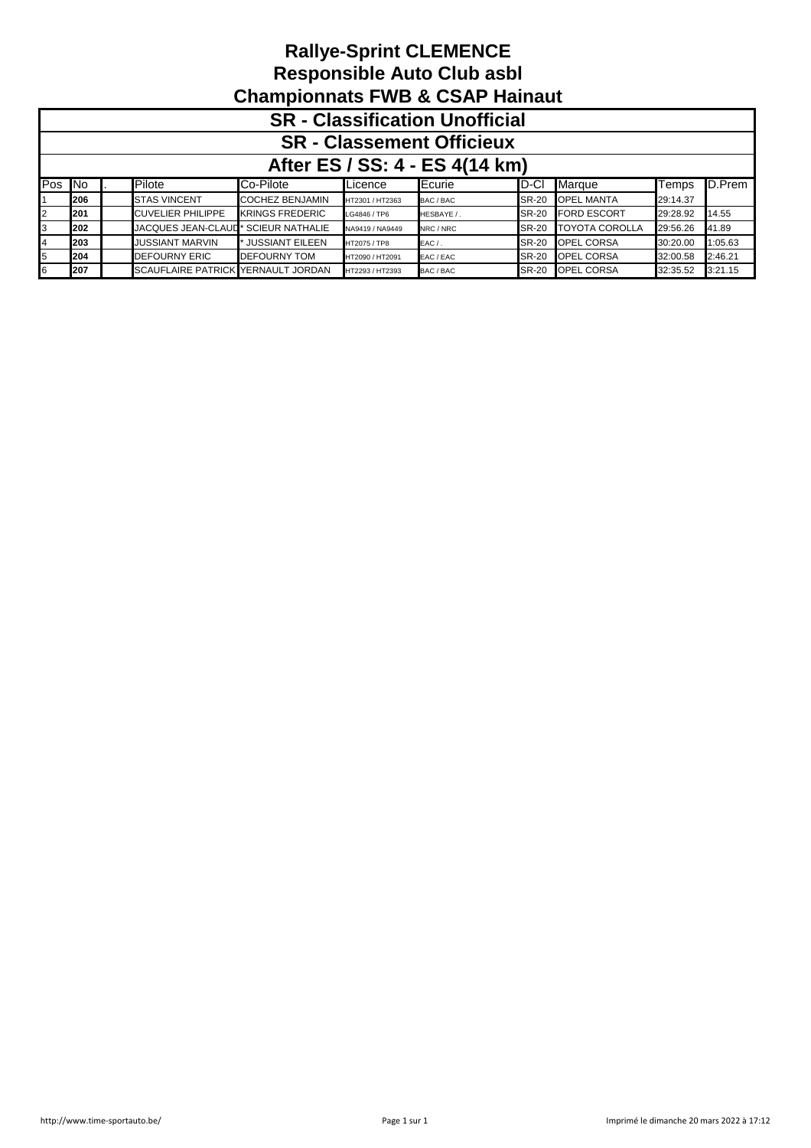|        | <b>SR</b> - Classification Unofficial |  |                                    |                        |                 |            |              |                       |          |         |  |  |
|--------|---------------------------------------|--|------------------------------------|------------------------|-----------------|------------|--------------|-----------------------|----------|---------|--|--|
|        | <b>SR - Classement Officieux</b>      |  |                                    |                        |                 |            |              |                       |          |         |  |  |
|        | After ES / SS: 4 - ES 4(14 km)        |  |                                    |                        |                 |            |              |                       |          |         |  |  |
| Pos No |                                       |  | Pilote                             | Co-Pilote              | Licence         | Ecurie     | ID-CI        | Marque                | Temps    | D.Prem  |  |  |
|        | 206                                   |  | <b>STAS VINCENT</b>                | <b>COCHEZ BENJAMIN</b> | HT2301 / HT2363 | BAC / BAC  | <b>SR-20</b> | <b>OPEL MANTA</b>     | 29:14.37 |         |  |  |
|        | 201                                   |  | <b>CUVELIER PHILIPPE</b>           | <b>KRINGS FREDERIC</b> | LG4846 / TP6    | HESBAYE /. | <b>SR-20</b> | <b>FORD ESCORT</b>    | 29:28.92 | 14.55   |  |  |
|        | 202                                   |  | JACQUES JEAN-CLAUD*                | <b>SCIEUR NATHALIE</b> | NA9419 / NA9449 | NRC / NRC  | <b>SR-20</b> | <b>TOYOTA COROLLA</b> | 29:56.26 | 41.89   |  |  |
|        | 203                                   |  | <b>JUSSIANT MARVIN</b>             | <b>JUSSIANT EILEEN</b> | HT2075 / TP8    | $EAC/$ .   | <b>SR-20</b> | OPEL CORSA            | 30:20.00 | 1:05.63 |  |  |
|        | 204                                   |  | <b>DEFOURNY ERIC</b>               | <b>DEFOURNY TOM</b>    | HT2090 / HT2091 | EAC / EAC  | <b>SR-20</b> | OPEL CORSA            | 32:00.58 | 2:46.21 |  |  |
|        | 207                                   |  | SCAUFLAIRE PATRICK YERNAULT JORDAN |                        | HT2293 / HT2393 | BAC / BAC  | <b>SR-20</b> | OPEL CORSA            | 32:35.52 | 3:21.15 |  |  |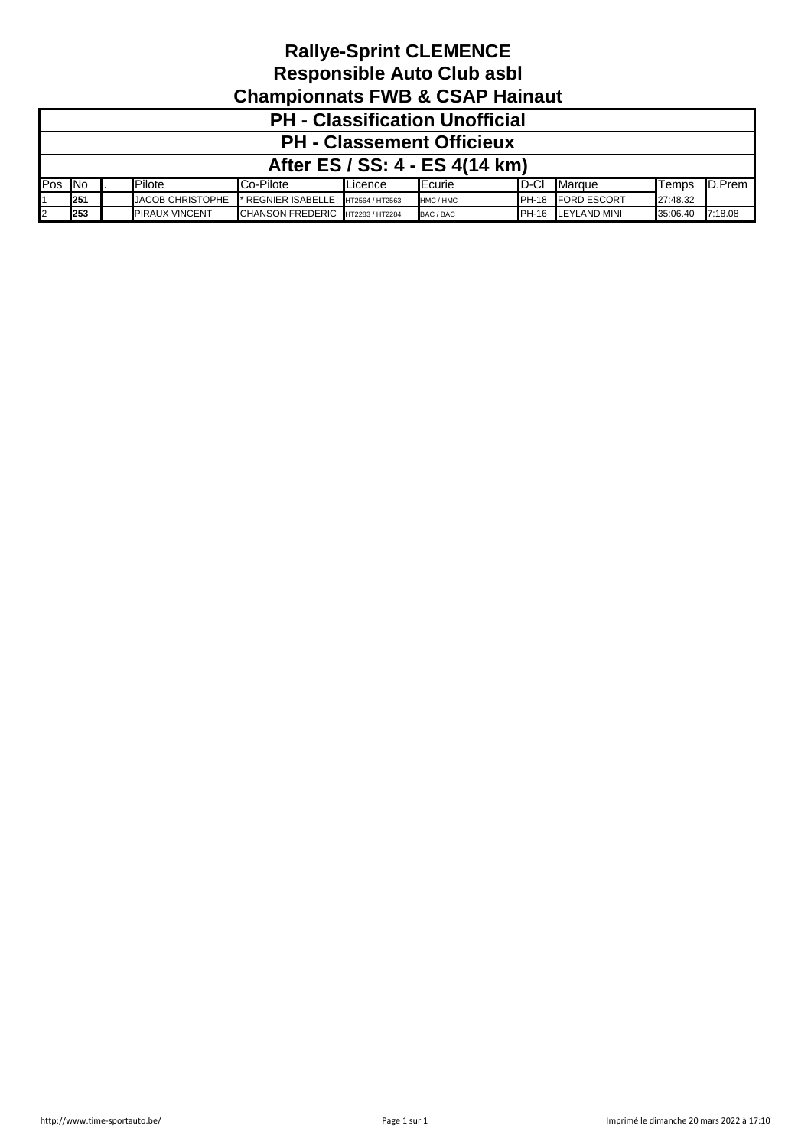|        | <b>PH - Classification Unofficial</b> |  |                         |                         |                 |           |              |                    |          |                |  |  |
|--------|---------------------------------------|--|-------------------------|-------------------------|-----------------|-----------|--------------|--------------------|----------|----------------|--|--|
|        | <b>PH - Classement Officieux</b>      |  |                         |                         |                 |           |              |                    |          |                |  |  |
|        | After ES / SS: 4 - ES 4(14 km)        |  |                         |                         |                 |           |              |                    |          |                |  |  |
| Pos No |                                       |  | Pilote                  | Co-Pilote               | Licence         | Ecurie    | ID-CI        | Marque             | Temps    | <b>ID.Prem</b> |  |  |
|        | 251                                   |  | <b>JACOB CHRISTOPHE</b> | * REGNIER ISABELLE      | HT2564 / HT2563 | HMC / HMC | <b>PH-18</b> | <b>FORD ESCORT</b> | 27:48.32 |                |  |  |
| 12     | 253                                   |  | <b>PIRAUX VINCENT</b>   | <b>CHANSON FREDERIC</b> | HT2283 / HT2284 | BAC / BAC |              | PH-16 LEYLAND MINI | 35:06.40 | 7:18.08        |  |  |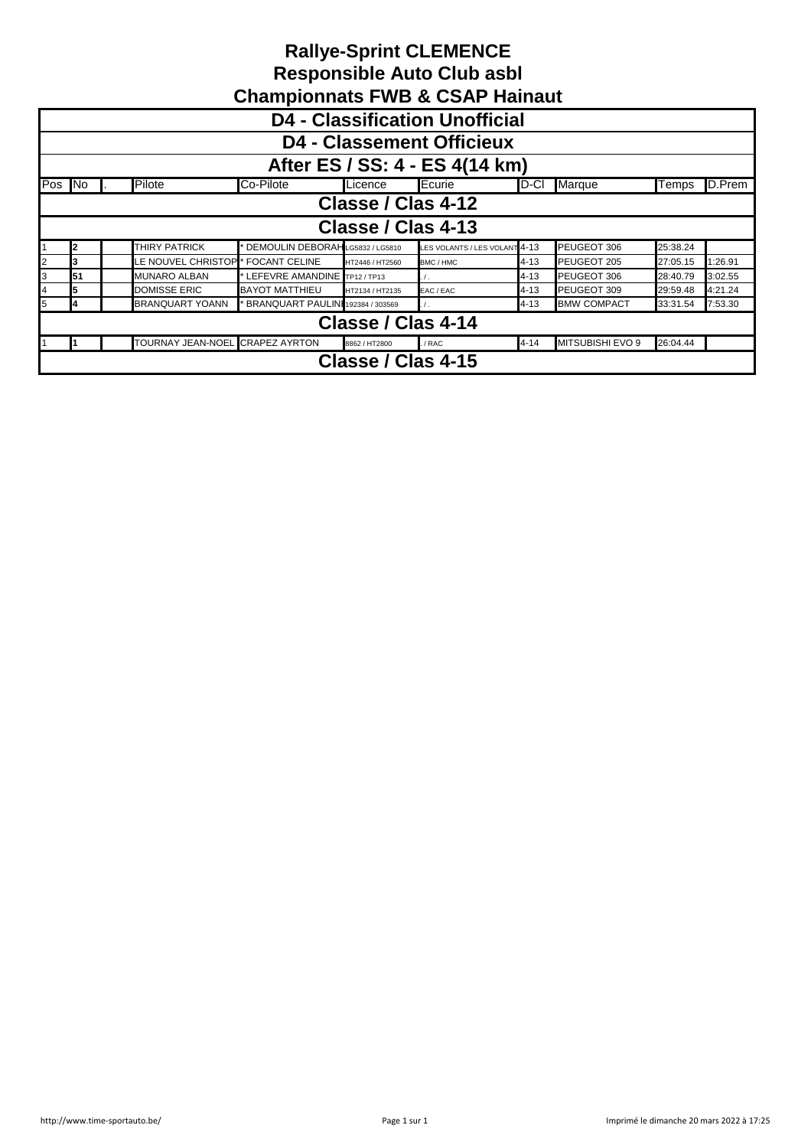|     | <b>Rallye-Sprint CLEMENCE</b><br><b>Responsible Auto Club asbl</b><br><b>Championnats FWB &amp; CSAP Hainaut</b> |                      |                                   |                    |                               |          |                    |          |         |  |  |
|-----|------------------------------------------------------------------------------------------------------------------|----------------------|-----------------------------------|--------------------|-------------------------------|----------|--------------------|----------|---------|--|--|
|     | <b>D4 - Classification Unofficial</b>                                                                            |                      |                                   |                    |                               |          |                    |          |         |  |  |
|     | <b>D4 - Classement Officieux</b>                                                                                 |                      |                                   |                    |                               |          |                    |          |         |  |  |
|     | After ES / SS: 4 - ES 4(14 km)                                                                                   |                      |                                   |                    |                               |          |                    |          |         |  |  |
| Pos | ∥No                                                                                                              | Pilote               | Co-Pilote                         | Licence            | Ecurie                        | ID-CI    | Marque             | Temps    | D.Prem  |  |  |
|     |                                                                                                                  |                      |                                   | Classe / Clas 4-12 |                               |          |                    |          |         |  |  |
|     |                                                                                                                  |                      |                                   | Classe / Clas 4-13 |                               |          |                    |          |         |  |  |
|     | I2                                                                                                               | <b>THIRY PATRICK</b> | DEMOULIN DEBORAH LG5832 / LG5810  |                    | LES VOLANTS / LES VOLANT 4-13 |          | PEUGEOT 306        | 25:38.24 |         |  |  |
| 2   | 3                                                                                                                | LE NOUVEL CHRISTOP   | FOCANT CELINE                     | HT2446 / HT2560    | BMC / HMC                     | $4 - 13$ | PEUGEOT 205        | 27:05.15 | 1:26.91 |  |  |
| 3   | 51                                                                                                               | <b>MUNARO ALBAN</b>  | LEFEVRE AMANDINE TP12/TP13        |                    | $\prime$ .                    | $4 - 13$ | PEUGEOT 306        | 28:40.79 | 3:02.55 |  |  |
| 4   | 5                                                                                                                | <b>DOMISSE ERIC</b>  | <b>BAYOT MATTHIEU</b>             | HT2134 / HT2135    | EAC / EAC                     | $4 - 13$ | PEUGEOT 309        | 29:59.48 | 4:21.24 |  |  |
| 5   | 4                                                                                                                | BRANQUART YOANN      | BRANQUART PAULINI 192384 / 303569 |                    |                               | $4 - 13$ | <b>BMW COMPACT</b> | 33:31.54 | 7:53.30 |  |  |
|     | Classe / Clas 4-14                                                                                               |                      |                                   |                    |                               |          |                    |          |         |  |  |
|     | TOURNAY JEAN-NOEL CRAPEZ AYRTON<br>MITSUBISHI EVO 9<br>26:04.44<br>$4 - 14$<br>8862 / HT2800<br>. / RAC          |                      |                                   |                    |                               |          |                    |          |         |  |  |
|     | Classe / Clas 4-15                                                                                               |                      |                                   |                    |                               |          |                    |          |         |  |  |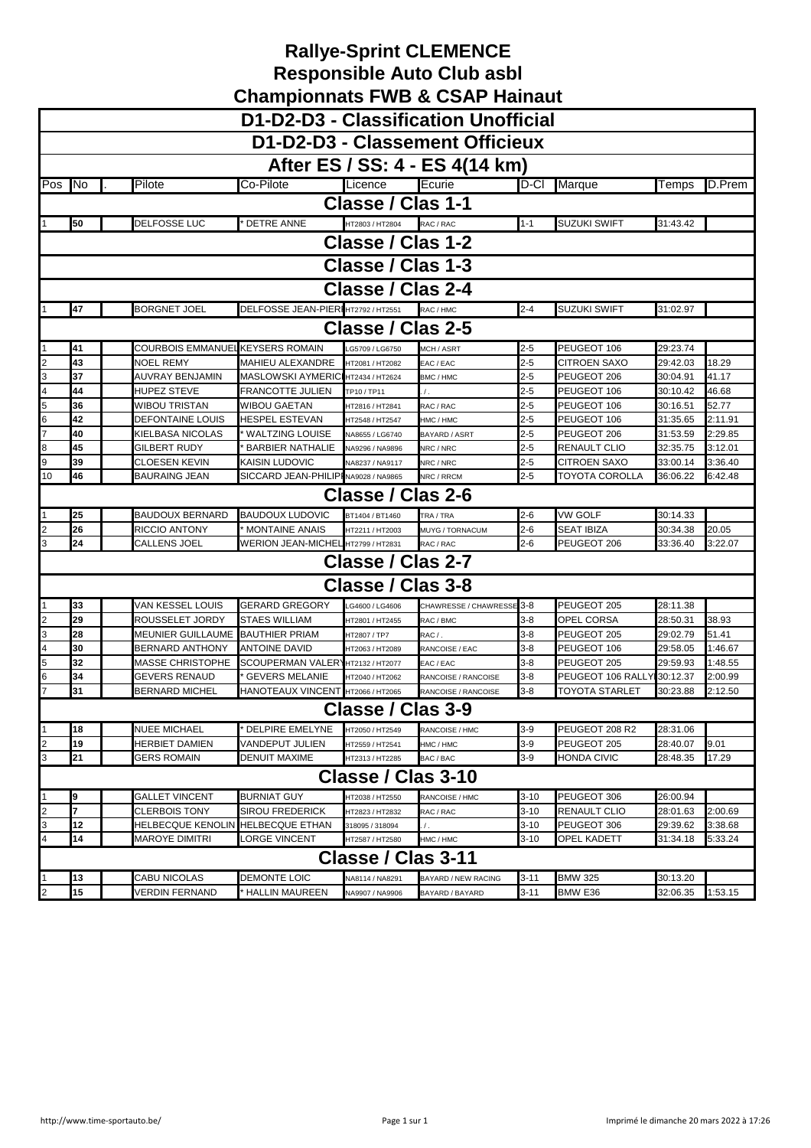|                | D1-D2-D3 - Classification Unofficial |                         |                                      |                          |                                 |          |                     |          |         |  |  |
|----------------|--------------------------------------|-------------------------|--------------------------------------|--------------------------|---------------------------------|----------|---------------------|----------|---------|--|--|
|                |                                      |                         |                                      |                          |                                 |          |                     |          |         |  |  |
|                |                                      |                         |                                      |                          | D1-D2-D3 - Classement Officieux |          |                     |          |         |  |  |
|                |                                      |                         |                                      |                          | After ES / SS: 4 - ES 4(14 km)  |          |                     |          |         |  |  |
|                |                                      |                         |                                      |                          |                                 |          |                     |          |         |  |  |
| lPos           | <b>No</b>                            | Pilote                  | Co-Pilote                            | Licence                  | Ecurie                          | D-Cl     | <b>Marque</b>       | Temps    | D.Prem  |  |  |
|                |                                      |                         |                                      | Classe / Clas 1-1        |                                 |          |                     |          |         |  |  |
|                | 50                                   | <b>DELFOSSE LUC</b>     | <b>DETRE ANNE</b>                    | HT2803 / HT2804          | RAC / RAC                       | $1 - 1$  | <b>SUZUKI SWIFT</b> | 31:43.42 |         |  |  |
|                |                                      |                         |                                      | Classe / Clas 1-2        |                                 |          |                     |          |         |  |  |
|                |                                      |                         |                                      |                          |                                 |          |                     |          |         |  |  |
|                | Classe / Clas 1-3                    |                         |                                      |                          |                                 |          |                     |          |         |  |  |
|                | Classe / Clas 2-4                    |                         |                                      |                          |                                 |          |                     |          |         |  |  |
|                | 47                                   | <b>BORGNET JOEL</b>     | DELFOSSE JEAN-PIERI HT2792 / HT2551  |                          | RAC / HMC                       | $2 - 4$  | <b>SUZUKI SWIFT</b> | 31:02.97 |         |  |  |
|                | <b>Classe / Clas 2-5</b>             |                         |                                      |                          |                                 |          |                     |          |         |  |  |
|                | 41                                   | COURBOIS EMMANUEI       | <b>KEYSERS ROMAIN</b>                | G5709 / LG6750           | MCH / ASRT                      | $2 - 5$  | PEUGEOT 106         | 29:23.74 |         |  |  |
|                | 43                                   | NOEL REMY               | MAHIEU ALEXANDRE                     | HT2081 / HT2082          | EAC / EAC                       | $2 - 5$  | CITROEN SAXO        | 29:42.03 | 18.29   |  |  |
| 3              | 37                                   | AUVRAY BENJAMIN         | MASLOWSKI AYMERIC HT2434 / HT2624    |                          | BMC / HMC                       | $2 - 5$  | PEUGEOT 206         | 30:04.91 | 41.17   |  |  |
| 4              | 44                                   | HUPEZ STEVE             | <b>FRANCOTTE JULIEN</b>              | TP10/TP11                |                                 | $2 - 5$  | PEUGEOT 106         | 30:10.42 | 46.68   |  |  |
| 5              | 36                                   | WIBOU TRISTAN           | WIBOU GAETAN                         | HT2816 / HT2841          | RAC / RAC                       | $2 - 5$  | PEUGEOT 106         | 30:16.51 | 52.77   |  |  |
| 6              | 42                                   | DEFONTAINE LOUIS        | HESPEL ESTEVAN                       | HT2548 / HT2547          | HMC / HMC                       | $2 - 5$  | PEUGEOT 106         | 31:35.65 | 2:11.91 |  |  |
|                | 40                                   | KIELBASA NICOLAS        | <b>WALTZING LOUISE</b>               | NA8655 / LG6740          | BAYARD / ASRT                   | $2 - 5$  | PEUGEOT 206         | 31:53.59 | 2:29.85 |  |  |
| 8              | 45                                   | GILBERT RUDY            | <b>BARBIER NATHALIE</b>              | NA9296 / NA9896          | NRC / NRC                       | $2 - 5$  | RENAULT CLIO        | 32:35.75 | 3:12.01 |  |  |
| 9              | 39                                   | CLOESEN KEVIN           | KAISIN LUDOVIC                       | NA8237 / NA9117          | NRC / NRC                       | $2 - 5$  | CITROEN SAXO        | 33:00.14 | 3:36.40 |  |  |
| 10             | 46                                   | BAURAING JEAN           | SICCARD JEAN-PHILIPI NA9028 / NA9865 |                          | NRC / RRCM                      | $2 - 5$  | TOYOTA COROLLA      | 36:06.22 | 6:42.48 |  |  |
|                |                                      |                         |                                      | Classe / Clas 2-6        |                                 |          |                     |          |         |  |  |
|                | 25                                   | <b>BAUDOUX BERNARD</b>  | <b>BAUDOUX LUDOVIC</b>               | BT1404 / BT1460          | TRA / TRA                       | 2-6      | <b>VW GOLF</b>      | 30:14.33 |         |  |  |
|                | 26                                   | RICCIO ANTONY           | <b>MONTAINE ANAIS</b>                | HT2211 / HT2003          | MUYG / TORNACUM                 | $2 - 6$  | SEAT IBIZA          | 30:34.38 | 20.05   |  |  |
|                | 24                                   | CALLENS JOEL            | WERION JEAN-MICHEL HT2799 / HT2831   |                          | RAC / RAC                       | $2-6$    | PEUGEOT 206         | 33:36.40 | 3:22.07 |  |  |
|                |                                      |                         |                                      | Classe / Clas 2-7        |                                 |          |                     |          |         |  |  |
|                |                                      |                         |                                      | Classe / Clas 3-8        |                                 |          |                     |          |         |  |  |
|                | 33                                   | VAN KESSEL LOUIS        | <b>GERARD GREGORY</b>                | G4600 / LG4606           | CHAWRESSE / CHAWRESSE           | $3 - 8$  | PEUGEOT 205         | 28:11.38 |         |  |  |
|                | 29                                   | ROUSSELET JORDY         | <b>STAES WILLIAM</b>                 | HT2801 / HT2455          | RAC / BMC                       | $3 - 8$  | OPEL CORSA          | 28:50.31 | 38.93   |  |  |
| 3              | 28                                   | MEUNIER GUILLAUME       | <b>BAUTHIER PRIAM</b>                | HT2807 / TP7             | RAC /.                          | $3-8$    | PEUGEOT 205         | 29:02.79 | 51.41   |  |  |
|                | 30                                   | BERNARD ANTHONY         | <b>ANTOINE DAVID</b>                 | HT2063 / HT2089          | RANCOISE / EAC                  | $3-8$    | PEUGEOT 106         | 29:58.05 | 1:46.67 |  |  |
|                | 32                                   | <b>MASSE CHRISTOPHE</b> | SCOUPERMAN VALER HT2132 / HT2077     |                          | EAC / EAC                       | $3 - 8$  | PEUGEOT 205         | 29:59.93 | 1:48.55 |  |  |
|                | 34                                   | <b>GEVERS RENAUD</b>    | <b>GEVERS MELANIE</b>                | HT2040 / HT2062          | RANCOISE / RANCOISE             | $3 - 8$  | PEUGEOT 106 RALLY   | 30:12.37 | 2:00.99 |  |  |
|                | 31                                   | BERNARD MICHEL          | HANOTEAUX VINCENT HT2066 / HT2065    |                          | RANCOISE / RANCOISE             | 3-8      | TOYOTA STARLET      | 30:23.88 | 2:12.50 |  |  |
|                |                                      |                         |                                      | <b>Classe / Clas 3-9</b> |                                 |          |                     |          |         |  |  |
|                | 18                                   | NUEE MICHAEL            | DELPIRE EMELYNE                      | HT2050 / HT2549          | RANCOISE / HMC                  | $3-9$    | PEUGEOT 208 R2      | 28:31.06 |         |  |  |
| 2              | 19                                   | HERBIET DAMIEN          | VANDEPUT JULIEN                      | HT2559 / HT2541          | HMC / HMC                       | $3-9$    | PEUGEOT 205         | 28:40.07 | 9.01    |  |  |
| 3              | 21                                   | GERS ROMAIN             | DENUIT MAXIME                        | HT2313 / HT2285          | BAC / BAC                       | $3 - 9$  | HONDA CIVIC         | 28:48.35 | 17.29   |  |  |
|                |                                      |                         |                                      | Classe / Clas 3-10       |                                 |          |                     |          |         |  |  |
|                | 9                                    | <b>GALLET VINCENT</b>   | BURNIAT GUY                          | HT2038 / HT2550          | RANCOISE / HMC                  | $3 - 10$ | PEUGEOT 306         | 26:00.94 |         |  |  |
| 2              | 7                                    | CLERBOIS TONY           | SIROU FREDERICK                      | HT2823 / HT2832          | RAC / RAC                       | $3 - 10$ | RENAULT CLIO        | 28:01.63 | 2:00.69 |  |  |
| 3              | 12                                   | HELBECQUE KENOLIN       | HELBECQUE ETHAN                      | 318095 / 318094          |                                 | $3 - 10$ | PEUGEOT 306         | 29:39.62 | 3:38.68 |  |  |
| $\overline{4}$ | 14                                   | <b>MAROYE DIMITRI</b>   | LORGE VINCENT                        | HT2587 / HT2580          | HMC / HMC                       | 3-10     | OPEL KADETT         | 31:34.18 | 5:33.24 |  |  |
|                | Classe / Clas 3-11                   |                         |                                      |                          |                                 |          |                     |          |         |  |  |
|                | 13                                   | CABU NICOLAS            | DEMONTE LOIC                         | NA8114 / NA8291          | BAYARD / NEW RACING             | $3 - 11$ | <b>BMW 325</b>      | 30:13.20 |         |  |  |
|                | 15                                   | VERDIN FERNAND          | <b>HALLIN MAUREEN</b>                | NA9907 / NA9906          | BAYARD / BAYARD                 | $3 - 11$ | BMW E36             | 32:06.35 | 1:53.15 |  |  |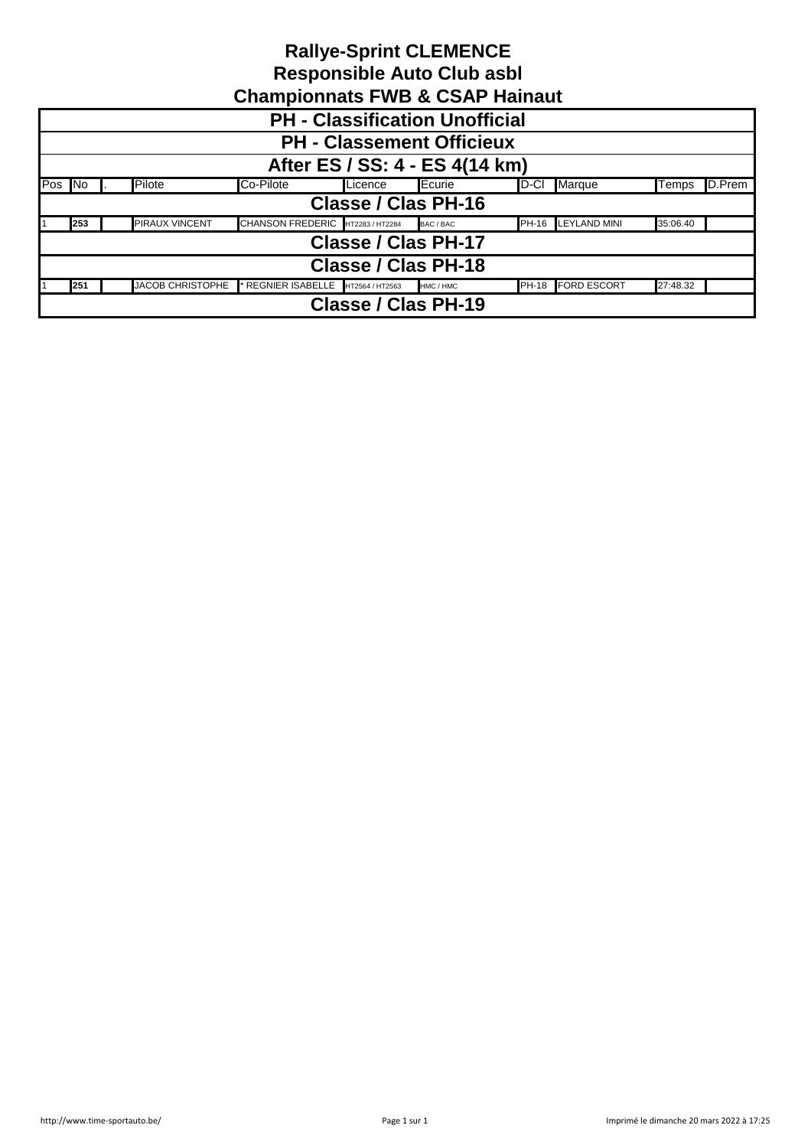| Undinpromided in the & OUAL Hamade                                                                                  |  |                       |                                  |  |                            |  |                    |          |  |  |
|---------------------------------------------------------------------------------------------------------------------|--|-----------------------|----------------------------------|--|----------------------------|--|--------------------|----------|--|--|
| <b>PH</b> - Classification Unofficial                                                                               |  |                       |                                  |  |                            |  |                    |          |  |  |
| <b>PH - Classement Officieux</b>                                                                                    |  |                       |                                  |  |                            |  |                    |          |  |  |
| After ES / SS: 4 - ES 4(14 km)                                                                                      |  |                       |                                  |  |                            |  |                    |          |  |  |
| Pos No<br>Pilote<br>Co-Pilote<br>Marque<br>Ecurie<br>D-CI<br>D.Prem<br>Licence<br>Temps                             |  |                       |                                  |  |                            |  |                    |          |  |  |
| Classe / Clas PH-16                                                                                                 |  |                       |                                  |  |                            |  |                    |          |  |  |
| 253                                                                                                                 |  | <b>PIRAUX VINCENT</b> | CHANSON FREDERIC HT2283 / HT2284 |  | BAC / BAC                  |  | PH-16 LEYLAND MINI | 35:06.40 |  |  |
|                                                                                                                     |  |                       |                                  |  | <b>Classe / Clas PH-17</b> |  |                    |          |  |  |
| Classe / Clas PH-18                                                                                                 |  |                       |                                  |  |                            |  |                    |          |  |  |
| <b>JACOB CHRISTOPHE</b><br>PH-18 FORD ESCORT<br>27:48.32<br>REGNIER ISABELLE<br>251<br>HT2564 / HT2563<br>HMC / HMC |  |                       |                                  |  |                            |  |                    |          |  |  |
| <b>Classe / Clas PH-19</b>                                                                                          |  |                       |                                  |  |                            |  |                    |          |  |  |